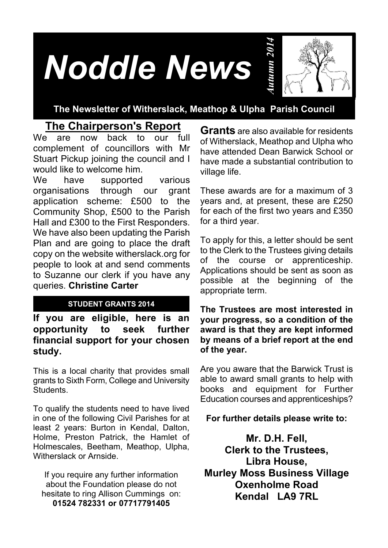# *Noddle News*



**The Newsletter of Witherslack, Meathop & Ulpha Parish Council**

# **The Chairperson's Report**

We are now back to our full complement of councillors with Mr Stuart Pickup joining the council and I would like to welcome him.<br>We bave supported

We have supported various<br>organisations through our grant through our grant application scheme: £500 to the Community Shop, £500 to the Parish Hall and £300 to the First Responders. We have also been updating the Parish Plan and are going to place the draft copy on the website witherslack.org for people to look at and send comments to Suzanne our clerk if you have any queries. **Christine Carter**

#### **STUDENT GRANTS 2014**

**If you are eligible, here is an opportunity to seek further financial support for your chosen study.**

grants to Sixth Form, College and University<br>Students This is a local charity that provides small **Students** 

To qualify the students need to have lived in one of the following Civil Parishes for at least 2 years: Burton in Kendal, Dalton, Holme, Preston Patrick, the Hamlet of Holmescales, Beetham, Meathop, Ulpha, Witherslack or Arnside.

If you require any further information about the Foundation please do not hesitate to ring Allison Cummings on: **01524 782331 or 07717791405**

**Grants** are also available for residents of Witherslack, Meathop and Ulpha who have attended Dean Barwick School or have made a substantial contribution to village life.

These awards are for a maximum of 3 years and, at present, these are £250 for each of the first two years and £350 for a third year.

To apply for this, a letter should be sent to the Clerk to the Trustees giving details of the course or apprenticeship. Applications should be sent as soon as possible at the beginning of the appropriate term.

**The Trustees are most interested in your progress, so a condition of the award is that they are kept informed by means of a brief report at the end of the year.**

Are you aware that the Barwick Trust is able to award small grants to help with books and equipment for Further Education courses and apprenticeships?

#### **For further details please write to:**

**Mr. D.H. Fell, Clerk to the Trustees, Libra House, Murley Moss Business Village Oxenholme Road Kendal LA9 7RL**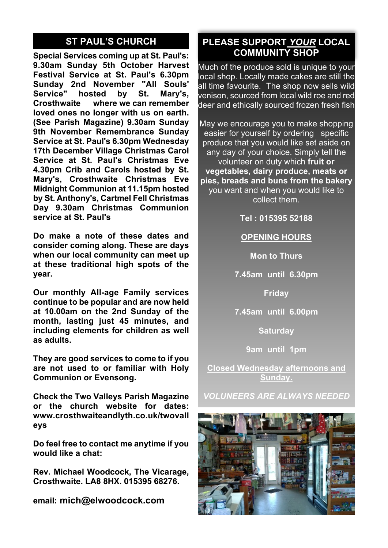## **ST PAUL'S CHURCH**

**Special Services coming up at St. Paul's: 9.30am Sunday 5th October Harvest Festival Service at St. Paul's 6.30pm Sunday 2nd November "All Souls' Service" hosted by St. Mary's,** where we can remember **loved ones no longer with us on earth. (See Parish Magazine) 9.30am Sunday 9th November Remembrance Sunday Service at St. Paul's 6.30pm Wednesday 17th December Village Christmas Carol Service at St. Paul's Christmas Eve 4.30pm Crib and Carols hosted by St. Mary's, Crosthwaite Christmas Eve Midnight Communion at 11.15pm hosted by St. Anthony's, Cartmel Fell Christmas Day 9.30am Christmas Communion service at St. Paul's**

**Do make a note of these dates and consider coming along. These are days when our local community can meet up at these traditional high spots of the year.**

**Our monthly All-age Family services continue to be popular and are now held at 10.00am on the 2nd Sunday of the month, lasting just 45 minutes, and including elements for children as well as adults.**

**They are good services to come to if you are not used to or familiar with Holy Communion or Evensong.**

**Check the Two Valleys Parish Magazine or the church website for dates: www.crosthwaiteandlyth.co.uk/twovall eys**

**Do feel free to contact me anytime if you would like a chat:**

**Rev. Michael Woodcock, The Vicarage, Crosthwaite. LA8 8HX. 015395 68276.**

**email: mich@elwoodcock.com**

### **PLEASE SUPPORT** *YOUR* **LOCAL COMMUNITY SHOP**

Much of the produce sold is unique to your local shop. Locally made cakes are still the all time favourite. The shop now sells wild venison, sourced from local wild roe and red deer and ethically sourced frozen fresh fish

May we encourage you to make shopping easier for yourself by ordering specific produce that you would like set aside on any day of your choice. Simply tell the volunteer on duty which **fruit or vegetables, dairy produce, meats or pies, breads and buns from the bakery** you want and when you would like to collect them.

**Tel : 015395 52188**

#### **OPENING HOURS**

**Mon to Thurs**

**7.45am until 6.30pm**

**Friday**

**7.45am until 6.00pm**

**Saturday**

**9am until 1pm**

**Closed Wednesday afternoons and Sunday.**

*VOLUNEERS ARE ALWAYS NEEDED*

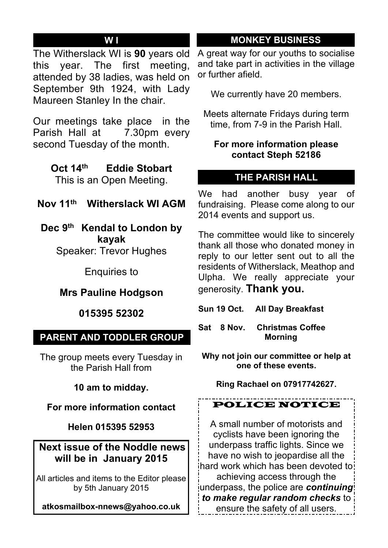## **W I**

The Witherslack WI is **90** years old this year. The first meeting, attended by 38 ladies, was held on September 9th 1924, with Lady Maureen Stanley In the chair.

Our meetings take place in the Parish Hall at 7.30pm every second Tuesday of the month.

> **Oct 14th Eddie Stobart** This is an Open Meeting.

# **Nov 11th Witherslack WI AGM**

**Dec 9th Kendal to London by kayak** Speaker: Trevor Hughes

Enquiries to

# **Mrs Pauline Hodgson**

**015395 52302**

# **PARENT AND TODDLER GROUP**

The group meets every Tuesday in the Parish Hall from

**10 am to midday.**

#### **For more information contact**

**Helen 015395 52953**

# **Next issue of the Noddle news will be in January 2015**

All articles and items to the Editor please by 5th January 2015

**atkosmailbox-nnews@yahoo.co.uk**

# **MONKEY BUSINESS**

A great way for our youths to socialise and take part in activities in the village or further afield.

We currently have 20 members.

Meets alternate Fridays during term time, from 7-9 in the Parish Hall.

#### **For more information please contact Steph 52186**

# **THE PARISH HALL**

We had another busy year of fundraising. Please come along to our 2014 events and support us.

The committee would like to sincerely thank all those who donated money in reply to our letter sent out to all the residents of Witherslack, Meathop and Ulpha. We really appreciate your generosity. **Thank you.**

**Sun 19 Oct. All Day Breakfast**

**Sat 8 Nov. Christmas Coffee Morning**

**Why not join our committee or help at one of these events.**

**Ring Rachael on 07917742627.**

# POLICE NOTICE

A small number of motorists and cyclists have been ignoring the underpass traffic lights. Since we have no wish to jeopardise all the **hard work which has been devoted to** achieving access through the underpass, the police are *continuing to make regular random checks* to ensure the safety of all users.